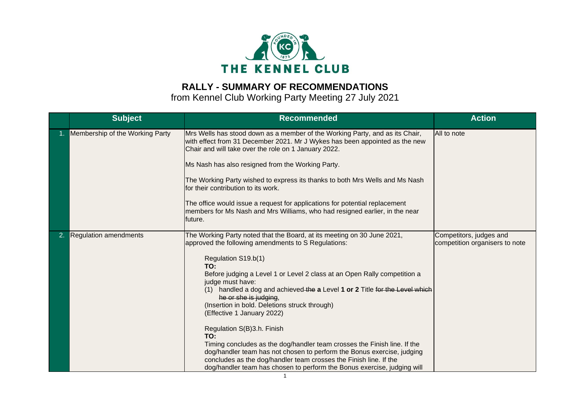

## **RALLY - SUMMARY OF RECOMMENDATIONS**

from Kennel Club Working Party Meeting 27 July 2021

| <b>Subject</b>                  | <b>Recommended</b>                                                                                                                                                                                                                                                                                                                                                                                                                                                                                                                                                                                                                                                                                                                                                                             | <b>Action</b>                                             |
|---------------------------------|------------------------------------------------------------------------------------------------------------------------------------------------------------------------------------------------------------------------------------------------------------------------------------------------------------------------------------------------------------------------------------------------------------------------------------------------------------------------------------------------------------------------------------------------------------------------------------------------------------------------------------------------------------------------------------------------------------------------------------------------------------------------------------------------|-----------------------------------------------------------|
| Membership of the Working Party | Mrs Wells has stood down as a member of the Working Party, and as its Chair,<br>with effect from 31 December 2021. Mr J Wykes has been appointed as the new<br>Chair and will take over the role on 1 January 2022.<br>Ms Nash has also resigned from the Working Party.<br>The Working Party wished to express its thanks to both Mrs Wells and Ms Nash<br>for their contribution to its work.<br>The office would issue a request for applications for potential replacement<br>members for Ms Nash and Mrs Williams, who had resigned earlier, in the near<br>future.                                                                                                                                                                                                                       | All to note                                               |
| <b>Regulation amendments</b>    | The Working Party noted that the Board, at its meeting on 30 June 2021,<br>approved the following amendments to S Regulations:<br>Regulation S19.b(1)<br>TO:<br>Before judging a Level 1 or Level 2 class at an Open Rally competition a<br>judge must have:<br>(1) handled a dog and achieved the a Level 1 or 2 Title for the Level which<br>he or she is judging,<br>(Insertion in bold. Deletions struck through)<br>(Effective 1 January 2022)<br>Regulation S(B)3.h. Finish<br>TO:<br>Timing concludes as the dog/handler team crosses the Finish line. If the<br>dog/handler team has not chosen to perform the Bonus exercise, judging<br>concludes as the dog/handler team crosses the Finish line. If the<br>dog/handler team has chosen to perform the Bonus exercise, judging will | Competitors, judges and<br>competition organisers to note |